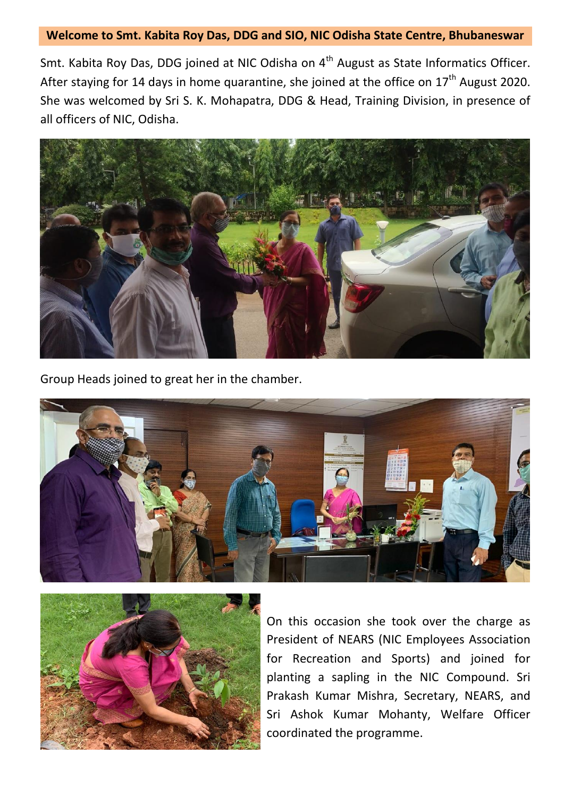## **Welcome to Smt. Kabita Roy Das, DDG and SIO, NIC Odisha State Centre, Bhubaneswar**

Smt. Kabita Roy Das, DDG joined at NIC Odisha on 4<sup>th</sup> August as State Informatics Officer. After staying for 14 days in home quarantine, she joined at the office on  $17<sup>th</sup>$  August 2020. She was welcomed by Sri S. K. Mohapatra, DDG & Head, Training Division, in presence of all officers of NIC, Odisha.



Group Heads joined to great her in the chamber.





On this occasion she took over the charge as President of NEARS (NIC Employees Association for Recreation and Sports) and joined for planting a sapling in the NIC Compound. Sri Prakash Kumar Mishra, Secretary, NEARS, and Sri Ashok Kumar Mohanty, Welfare Officer coordinated the programme.